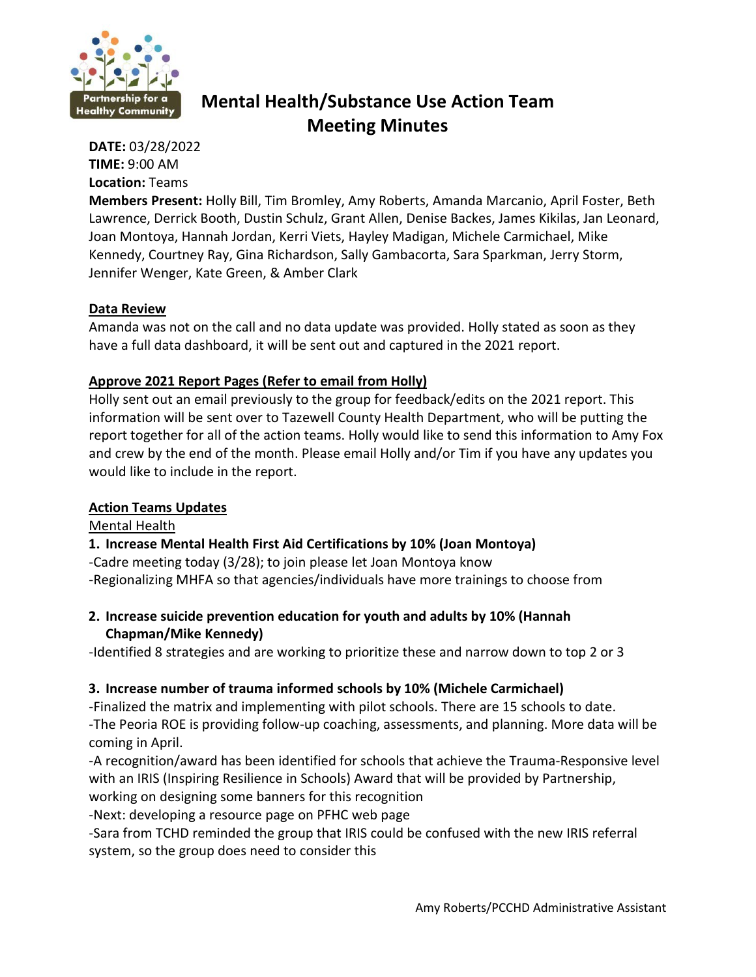

# **Mental Health/Substance Use Action Team Meeting Minutes**

**DATE:** 03/28/2022 **TIME:** 9:00 AM **Location:** Teams

**Members Present:** Holly Bill, Tim Bromley, Amy Roberts, Amanda Marcanio, April Foster, Beth Lawrence, Derrick Booth, Dustin Schulz, Grant Allen, Denise Backes, James Kikilas, Jan Leonard, Joan Montoya, Hannah Jordan, Kerri Viets, Hayley Madigan, Michele Carmichael, Mike Kennedy, Courtney Ray, Gina Richardson, Sally Gambacorta, Sara Sparkman, Jerry Storm, Jennifer Wenger, Kate Green, & Amber Clark

#### **Data Review**

Amanda was not on the call and no data update was provided. Holly stated as soon as they have a full data dashboard, it will be sent out and captured in the 2021 report.

### **Approve 2021 Report Pages (Refer to email from Holly)**

Holly sent out an email previously to the group for feedback/edits on the 2021 report. This information will be sent over to Tazewell County Health Department, who will be putting the report together for all of the action teams. Holly would like to send this information to Amy Fox and crew by the end of the month. Please email Holly and/or Tim if you have any updates you would like to include in the report.

## **Action Teams Updates**

## Mental Health

## **1. Increase Mental Health First Aid Certifications by 10% (Joan Montoya)**

-Cadre meeting today (3/28); to join please let Joan Montoya know -Regionalizing MHFA so that agencies/individuals have more trainings to choose from

## **2. Increase suicide prevention education for youth and adults by 10% (Hannah Chapman/Mike Kennedy)**

-Identified 8 strategies and are working to prioritize these and narrow down to top 2 or 3

## **3. Increase number of trauma informed schools by 10% (Michele Carmichael)**

-Finalized the matrix and implementing with pilot schools. There are 15 schools to date. -The Peoria ROE is providing follow-up coaching, assessments, and planning. More data will be coming in April.

-A recognition/award has been identified for schools that achieve the Trauma-Responsive level with an IRIS (Inspiring Resilience in Schools) Award that will be provided by Partnership, working on designing some banners for this recognition

-Next: developing a resource page on PFHC web page

-Sara from TCHD reminded the group that IRIS could be confused with the new IRIS referral system, so the group does need to consider this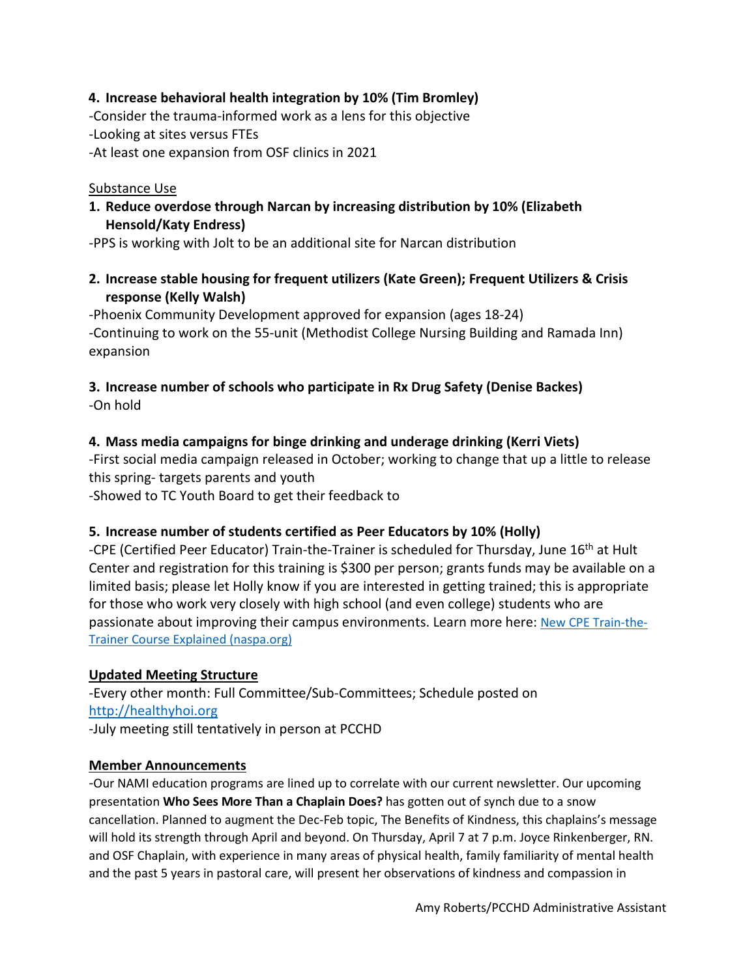#### **4. Increase behavioral health integration by 10% (Tim Bromley)**

-Consider the trauma-informed work as a lens for this objective

-Looking at sites versus FTEs

-At least one expansion from OSF clinics in 2021

#### Substance Use

**1. Reduce overdose through Narcan by increasing distribution by 10% (Elizabeth Hensold/Katy Endress)**

-PPS is working with Jolt to be an additional site for Narcan distribution

**2. Increase stable housing for frequent utilizers (Kate Green); Frequent Utilizers & Crisis response (Kelly Walsh)**

-Phoenix Community Development approved for expansion (ages 18-24) -Continuing to work on the 55-unit (Methodist College Nursing Building and Ramada Inn) expansion

**3. Increase number of schools who participate in Rx Drug Safety (Denise Backes)** -On hold

## **4. Mass media campaigns for binge drinking and underage drinking (Kerri Viets)**

-First social media campaign released in October; working to change that up a little to release this spring- targets parents and youth

-Showed to TC Youth Board to get their feedback to

## **5. Increase number of students certified as Peer Educators by 10% (Holly)**

-CPE (Certified Peer Educator) Train-the-Trainer is scheduled for Thursday, June 16<sup>th</sup> at Hult Center and registration for this training is \$300 per person; grants funds may be available on a limited basis; please let Holly know if you are interested in getting trained; this is appropriate for those who work very closely with high school (and even college) students who are passionate about improving their campus environments. Learn more here[: New CPE Train-the-](https://www.naspa.org/blog/new-cpe-train-the-trainer-course-explained)[Trainer Course Explained \(naspa.org\)](https://www.naspa.org/blog/new-cpe-train-the-trainer-course-explained)

#### **Updated Meeting Structure**

-Every other month: Full Committee/Sub-Committees; Schedule posted on [http://healthyhoi.org](http://healthyhoi.org/) -July meeting still tentatively in person at PCCHD

#### **Member Announcements**

-Our NAMI education programs are lined up to correlate with our current newsletter. Our upcoming presentation **Who Sees More Than a Chaplain Does?** has gotten out of synch due to a snow cancellation. Planned to augment the Dec-Feb topic, The Benefits of Kindness, this chaplains's message will hold its strength through April and beyond. On Thursday, April 7 at 7 p.m. Joyce Rinkenberger, RN. and OSF Chaplain, with experience in many areas of physical health, family familiarity of mental health and the past 5 years in pastoral care, will present her observations of kindness and compassion in